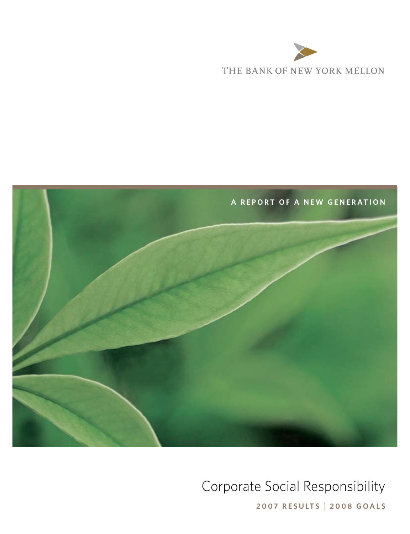



# Corporate Social Responsibility

**2007 results 2008 goals**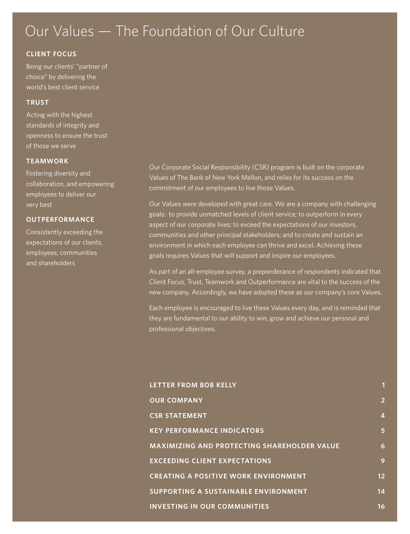# Our Values — The Foundation of Our Culture

### **CLIENT FOCUS**

Being our clients' "partner of choice" by delivering the world's best client service

### **TRUST**

Acting with the highest standards of integrity and openness to ensure the trust of those we serve

### **TEAMWORK**

Fostering diversity and collaboration, and empowering employees to deliver our very best

### **OUTPERFORMANCE**

Consistently exceeding the expectations of our clients, employees, communities and shareholders

Our Corporate Social Responsibility (CSR) program is built on the corporate Values of The Bank of New York Mellon, and relies for its success on the commitment of our employees to live those Values.

Our Values were developed with great care. We are a company with challenging goals: to provide unmatched levels of client service; to outperform in every aspect of our corporate lives; to exceed the expectations of our investors, communities and other principal stakeholders; and to create and sustain an environment in which each employee can thrive and excel. Achieving these goals requires Values that will support and inspire our employees.

As part of an all-employee survey, a preponderance of respondents indicated that Client Focus, Trust, Teamwork and Outperformance are vital to the success of the new company. Accordingly, we have adopted these as our company's core Values.

Each employee is encouraged to live these Values every day, and is reminded that they are fundamental to our ability to win, grow and achieve our personal and professional objectives.

| LETTER FROM BOB KELLY                              | 1              |
|----------------------------------------------------|----------------|
| <b>OUR COMPANY</b>                                 | $\overline{2}$ |
| <b>CSR STATEMENT</b>                               | 4              |
| <b>KEY PERFORMANCE INDICATORS</b>                  | 5              |
| <b>MAXIMIZING AND PROTECTING SHAREHOLDER VALUE</b> | 6              |
| <b>EXCEEDING CLIENT EXPECTATIONS</b>               | 9              |
| <b>CREATING A POSITIVE WORK ENVIRONMENT</b>        | 12             |
| SUPPORTING A SUSTAINABLE ENVIRONMENT               | 14             |
| <b>INVESTING IN OUR COMMUNITIES</b>                | 16             |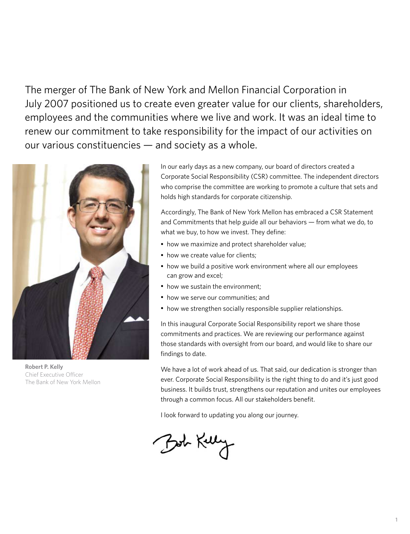The merger of The Bank of New York and Mellon Financial Corporation in July 2007 positioned us to create even greater value for our clients, shareholders, employees and the communities where we live and work. It was an ideal time to renew our commitment to take responsibility for the impact of our activities on our various constituencies — and society as a whole.



**Robert P. Kelly** Chief Executive Officer The Bank of New York Mellon

In our early days as a new company, our board of directors created a Corporate Social Responsibility (CSR) committee. The independent directors who comprise the committee are working to promote a culture that sets and holds high standards for corporate citizenship.

Accordingly, The Bank of New York Mellon has embraced a CSR Statement and Commitments that help guide all our behaviors — from what we do, to what we buy, to how we invest. They define:

- how we maximize and protect shareholder value;
- how we create value for clients:
- how we build a positive work environment where all our employees can grow and excel;
- how we sustain the environment;
- how we serve our communities; and
- how we strengthen socially responsible supplier relationships.

In this inaugural Corporate Social Responsibility report we share those commitments and practices. We are reviewing our performance against those standards with oversight from our board, and would like to share our findings to date.

We have a lot of work ahead of us. That said, our dedication is stronger than ever. Corporate Social Responsibility is the right thing to do and it's just good business. It builds trust, strengthens our reputation and unites our employees through a common focus. All our stakeholders benefit.

I look forward to updating you along our journey.

Bot Kelly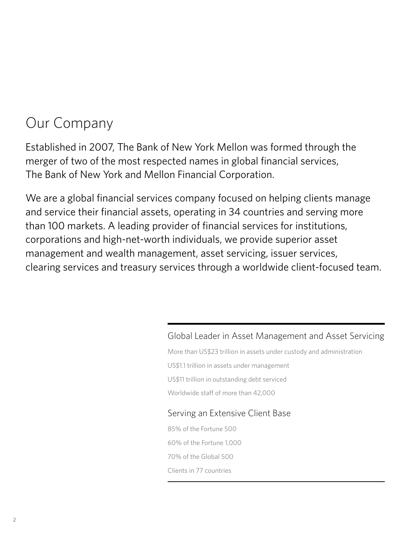# <span id="page-3-0"></span>Our Company

Established in 2007, The Bank of New York Mellon was formed through the merger of two of the most respected names in global financial services, The Bank of New York and Mellon Financial Corporation.

We are a global financial services company focused on helping clients manage and service their financial assets, operating in 34 countries and serving more than 100 markets. A leading provider of financial services for institutions, corporations and high-net-worth individuals, we provide superior asset management and wealth management, asset servicing, issuer services, clearing services and treasury services through a worldwide client-focused team.

# Global Leader in Asset Management and Asset Servicing

More than US\$23 trillion in assets under custody and administration

US\$1.1 trillion in assets under management

US\$11 trillion in outstanding debt serviced

Worldwide staff of more than 42,000

# Serving an Extensive Client Base

85% of the Fortune 500 60% of the Fortune 1,000 70% of the Global 500 Clients in 77 countries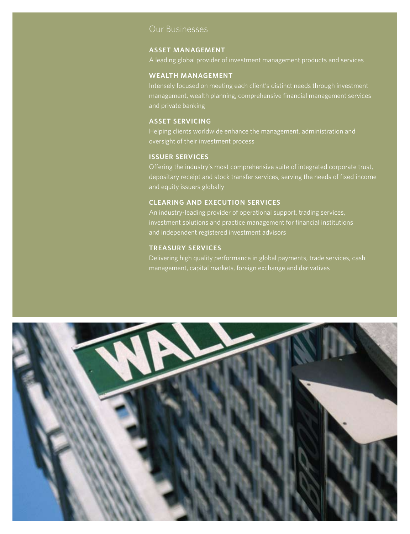### Our Businesses

#### **asset management**

A leading global provider of investment management products and services

#### **wealth management**

Intensely focused on meeting each client's distinct needs through investment management, wealth planning, comprehensive financial management services and private banking

### **asset servicing**

Helping clients worldwide enhance the management, administration and oversight of their investment process

### **issuer services**

Offering the industry's most comprehensive suite of integrated corporate trust, depositary receipt and stock transfer services, serving the needs of fixed income and equity issuers globally

### **CLEARING AND EXECUTION services**

An industry-leading provider of operational support, trading services, investment solutions and practice management for financial institutions and independent registered investment advisors

#### **treasury services**

Delivering high quality performance in global payments, trade services, cash management, capital markets, foreign exchange and derivatives

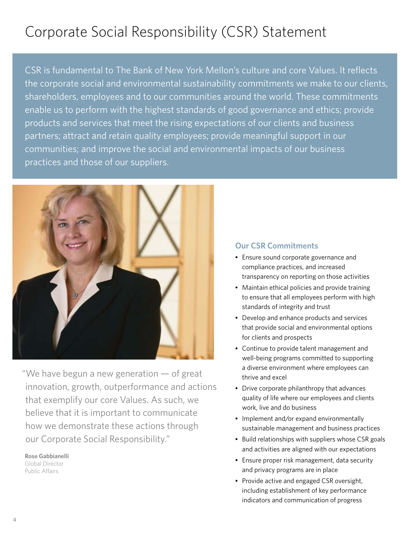# <span id="page-5-0"></span>Corporate Social Responsibility (CSR) Statement

CSR is fundamental to The Bank of New York Mellon's culture and core Values. It reflects the corporate social and environmental sustainability commitments we make to our clients, shareholders, employees and to our communities around the world. These commitments enable us to perform with the highest standards of good governance and ethics; provide products and services that meet the rising expectations of our clients and business partners; attract and retain quality employees; provide meaningful support in our communities; and improve the social and environmental impacts of our business practices and those of our suppliers.



"We have begun a new generation — of great innovation, growth, outperformance and actions that exemplify our core Values. As such, we believe that it is important to communicate how we demonstrate these actions through our Corporate Social Responsibility."

**Rose Gabbianelli** Global Director Public Affairs

# **Our CSR Commitments**

- Ensure sound corporate governance and compliance practices, and increased transparency on reporting on those activities
- Maintain ethical policies and provide training to ensure that all employees perform with high standards of integrity and trust
- Develop and enhance products and services that provide social and environmental options for clients and prospects
- Continue to provide talent management and well-being programs committed to supporting a diverse environment where employees can thrive and excel
- Drive corporate philanthropy that advances quality of life where our employees and clients work, live and do business
- Implement and/or expand environmentally sustainable management and business practices
- Build relationships with suppliers whose CSR goals and activities are aligned with our expectations
- Ensure proper risk management, data security and privacy programs are in place
- Provide active and engaged CSR oversight, including establishment of key performance indicators and communication of progress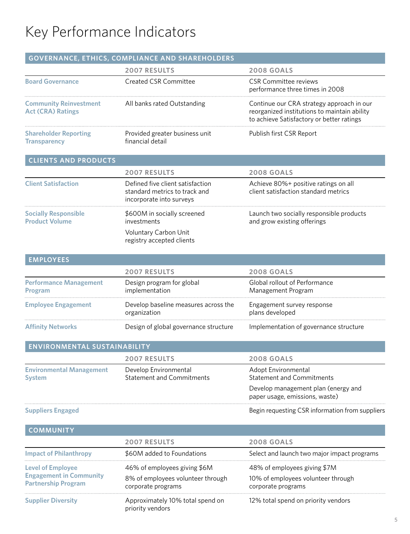# Key Performance Indicators

|                                                           | GOVERNANCE, ETHICS, COMPLIANCE AND SHAREHOLDERS                                                  |                                                                                                                                        |
|-----------------------------------------------------------|--------------------------------------------------------------------------------------------------|----------------------------------------------------------------------------------------------------------------------------------------|
|                                                           | <b>2007 RESULTS</b>                                                                              | <b>2008 GOALS</b>                                                                                                                      |
| <b>Board Governance</b>                                   | <b>Created CSR Committee</b>                                                                     | <b>CSR Committee reviews</b><br>performance three times in 2008                                                                        |
| <b>Community Reinvestment</b><br><b>Act (CRA) Ratings</b> | All banks rated Outstanding                                                                      | Continue our CRA strategy approach in our<br>reorganized institutions to maintain ability<br>to achieve Satisfactory or better ratings |
| <b>Shareholder Reporting</b><br><b>Transparency</b>       | Provided greater business unit<br>financial detail                                               | Publish first CSR Report                                                                                                               |
| <b>CLIENTS AND PRODUCTS</b>                               |                                                                                                  |                                                                                                                                        |
|                                                           | <b>2007 RESULTS</b>                                                                              | <b>2008 GOALS</b>                                                                                                                      |
| <b>Client Satisfaction</b>                                | Defined five client satisfaction<br>standard metrics to track and<br>incorporate into surveys    | Achieve 80%+ positive ratings on all<br>client satisfaction standard metrics                                                           |
| <b>Socially Responsible</b><br><b>Product Volume</b>      | \$600M in socially screened<br>investments<br>Voluntary Carbon Unit<br>registry accepted clients | Launch two socially responsible products<br>and grow existing offerings                                                                |
| <b>EMPLOYEES</b>                                          |                                                                                                  |                                                                                                                                        |
|                                                           | <b>2007 RESULTS</b>                                                                              | <b>2008 GOALS</b>                                                                                                                      |
| <b>Performance Management</b><br>Program                  | Design program for global<br>implementation                                                      | Global rollout of Performance<br>Management Program                                                                                    |
| <b>Employee Engagement</b>                                | Develop baseline measures across the<br>organization                                             | Engagement survey response<br>plans developed                                                                                          |
| <b>Affinity Networks</b>                                  | Design of global governance structure                                                            | Implementation of governance structure                                                                                                 |
| ENVIRONMENTAL SUSTAINABILITY                              |                                                                                                  |                                                                                                                                        |
|                                                           | <b>2007 RESULTS</b>                                                                              | <b>2008 GOALS</b>                                                                                                                      |
| <b>Environmental Management</b><br>Svstem                 | Develop Environmental<br><b>Statement and Commitments</b>                                        | Adopt Environmental<br><b>Statement and Commitments</b>                                                                                |

**Suppliers Engaged**

Begin requesting CSR information from suppliers

Develop management plan (energy and

paper usage, emissions, waste)

| <b>COMMUNITY</b>                                                                         |                                                                                         |                                                                                          |
|------------------------------------------------------------------------------------------|-----------------------------------------------------------------------------------------|------------------------------------------------------------------------------------------|
|                                                                                          | <b>2007 RESULTS</b>                                                                     | <b>2008 GOALS</b>                                                                        |
| <b>Impact of Philanthropy</b>                                                            | \$60M added to Foundations                                                              | Select and launch two major impact programs                                              |
| <b>Level of Employee</b><br><b>Engagement in Community</b><br><b>Partnership Program</b> | 46% of employees giving \$6M<br>8% of employees volunteer through<br>corporate programs | 48% of employees giving \$7M<br>10% of employees volunteer through<br>corporate programs |
| <b>Supplier Diversity</b>                                                                | Approximately 10% total spend on<br>priority vendors                                    | 12% total spend on priority vendors                                                      |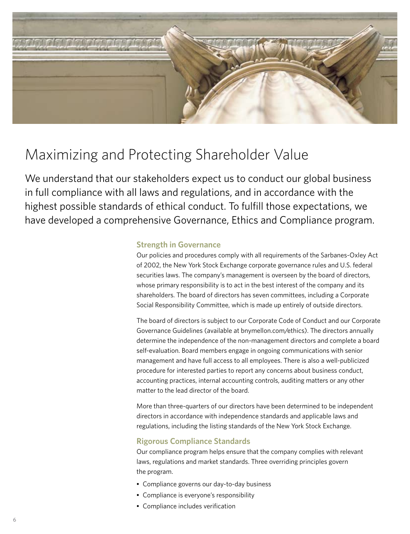<span id="page-7-0"></span>

# Maximizing and Protecting Shareholder Value

We understand that our stakeholders expect us to conduct our global business in full compliance with all laws and regulations, and in accordance with the highest possible standards of ethical conduct. To fulfill those expectations, we have developed a comprehensive Governance, Ethics and Compliance program.

### **Strength in Governance**

Our policies and procedures comply with all requirements of the Sarbanes-Oxley Act of 2002, the New York Stock Exchange corporate governance rules and U.S. federal securities laws. The company's management is overseen by the board of directors, whose primary responsibility is to act in the best interest of the company and its shareholders. The board of directors has seven committees, including a Corporate Social Responsibility Committee, which is made up entirely of outside directors.

The board of directors is subject to our Corporate Code of Conduct and our Corporate Governance Guidelines (available at bnymellon.com/ethics). The directors annually determine the independence of the non-management directors and complete a board self-evaluation. Board members engage in ongoing communications with senior management and have full access to all employees. There is also a well-publicized procedure for interested parties to report any concerns about business conduct, accounting practices, internal accounting controls, auditing matters or any other matter to the lead director of the board.

More than three-quarters of our directors have been determined to be independent directors in accordance with independence standards and applicable laws and regulations, including the listing standards of the New York Stock Exchange.

# **Rigorous Compliance Standards**

Our compliance program helps ensure that the company complies with relevant laws, regulations and market standards. Three overriding principles govern the program.

- Compliance governs our day-to-day business
- Compliance is everyone's responsibility
- Compliance includes verification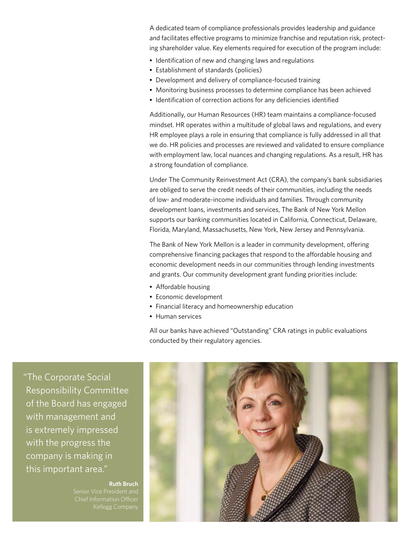A dedicated team of compliance professionals provides leadership and guidance and facilitates effective programs to minimize franchise and reputation risk, protecting shareholder value. Key elements required for execution of the program include:

- Identification of new and changing laws and regulations
- Establishment of standards (policies)
- Development and delivery of compliance-focused training
- Monitoring business processes to determine compliance has been achieved
- Identification of correction actions for any deficiencies identified

Additionally, our Human Resources (HR) team maintains a compliance-focused mindset. HR operates within a multitude of global laws and regulations, and every HR employee plays a role in ensuring that compliance is fully addressed in all that we do. HR policies and processes are reviewed and validated to ensure compliance with employment law, local nuances and changing regulations. As a result, HR has a strong foundation of compliance.

Under The Community Reinvestment Act (CRA), the company's bank subsidiaries are obliged to serve the credit needs of their communities, including the needs of low- and moderate-income individuals and families. Through community development loans, investments and services, The Bank of New York Mellon supports our banking communities located in California, Connecticut, Delaware, Florida, Maryland, Massachusetts, New York, New Jersey and Pennsylvania.

The Bank of New York Mellon is a leader in community development, offering comprehensive financing packages that respond to the affordable housing and economic development needs in our communities through lending investments and grants. Our community development grant funding priorities include:

- Affordable housing
- Economic development
- Financial literacy and homeownership education
- Human services

All our banks have achieved "Outstanding" CRA ratings in public evaluations conducted by their regulatory agencies.

"The Corporate Social Responsibility Committee of the Board has engaged with management and is extremely impressed with the progress the company is making in this important area."

**Ruth Bruch** 

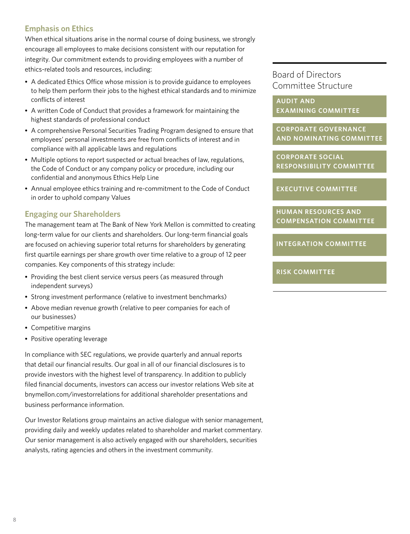## <span id="page-9-0"></span>**Emphasis on Ethics**

When ethical situations arise in the normal course of doing business, we strongly encourage all employees to make decisions consistent with our reputation for integrity. Our commitment extends to providing employees with a number of ethics-related tools and resources, including:

- A dedicated Ethics Office whose mission is to provide guidance to employees to help them perform their jobs to the highest ethical standards and to minimize conflicts of interest
- A written Code of Conduct that provides a framework for maintaining the highest standards of professional conduct
- A comprehensive Personal Securities Trading Program designed to ensure that employees' personal investments are free from conflicts of interest and in compliance with all applicable laws and regulations
- Multiple options to report suspected or actual breaches of law, regulations, the Code of Conduct or any company policy or procedure, including our confidential and anonymous Ethics Help Line
- Annual employee ethics training and re-commitment to the Code of Conduct in order to uphold company Values

## **Engaging our Shareholders**

The management team at The Bank of New York Mellon is committed to creating long-term value for our clients and shareholders. Our long-term financial goals are focused on achieving superior total returns for shareholders by generating first quartile earnings per share growth over time relative to a group of 12 peer companies. Key components of this strategy include:

- Providing the best client service versus peers (as measured through independent surveys)
- Strong investment performance (relative to investment benchmarks)
- Above median revenue growth (relative to peer companies for each of our businesses)
- Competitive margins
- Positive operating leverage

In compliance with SEC regulations, we provide quarterly and annual reports that detail our financial results. Our goal in all of our financial disclosures is to provide investors with the highest level of transparency. In addition to publicly filed financial documents, investors can access our investor relations Web site at bnymellon.com/investorrelations for additional shareholder presentations and business performance information.

Our Investor Relations group maintains an active dialogue with senior management, providing daily and weekly updates related to shareholder and market commentary. Our senior management is also actively engaged with our shareholders, securities analysts, rating agencies and others in the investment community.

# Board of Directors Committee Structure

**Audit and Examining Committee**

**Corporate Governance and Nominating Committee**

**Corporate Social Responsibility Committee**

**Executive Committee**

**Human Resources and Compensation Committee**

**Integration Committee**

### **Risk Committee**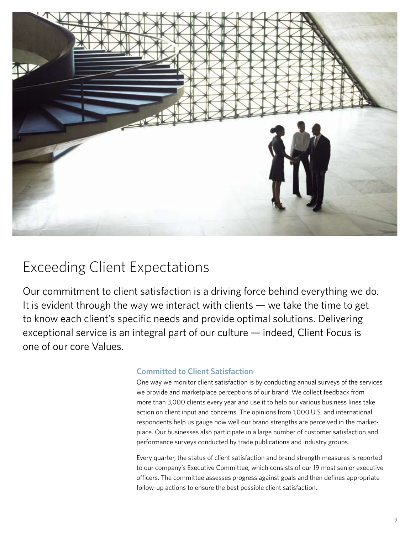

# Exceeding Client Expectations

Our commitment to client satisfaction is a driving force behind everything we do. It is evident through the way we interact with clients — we take the time to get to know each client's specific needs and provide optimal solutions. Delivering exceptional service is an integral part of our culture — indeed, Client Focus is one of our core Values.

# **Committed to Client Satisfaction**

One way we monitor client satisfaction is by conducting annual surveys of the services we provide and marketplace perceptions of our brand. We collect feedback from more than 3,000 clients every year and use it to help our various business lines take action on client input and concerns. The opinions from 1,000 U.S. and international respondents help us gauge how well our brand strengths are perceived in the marketplace. Our businesses also participate in a large number of customer satisfaction and performance surveys conducted by trade publications and industry groups.

Every quarter, the status of client satisfaction and brand strength measures is reported to our company's Executive Committee, which consists of our 19 most senior executive officers. The committee assesses progress against goals and then defines appropriate follow-up actions to ensure the best possible client satisfaction.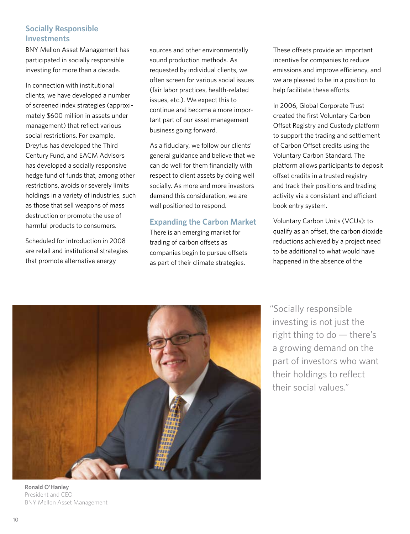# **Socially Responsible Investments**

BNY Mellon Asset Management has participated in socially responsible investing for more than a decade.

In connection with institutional clients, we have developed a number of screened index strategies (approximately \$600 million in assets under management) that reflect various social restrictions. For example, Dreyfus has developed the Third Century Fund, and EACM Advisors has developed a socially responsive hedge fund of funds that, among other restrictions, avoids or severely limits holdings in a variety of industries, such as those that sell weapons of mass destruction or promote the use of harmful products to consumers.

Scheduled for introduction in 2008 are retail and institutional strategies that promote alternative energy

sources and other environmentally sound production methods. As requested by individual clients, we often screen for various social issues (fair labor practices, health-related issues, etc.). We expect this to continue and become a more important part of our asset management business going forward.

As a fiduciary, we follow our clients' general guidance and believe that we can do well for them financially with respect to client assets by doing well socially. As more and more investors demand this consideration, we are well positioned to respond.

## **Expanding the Carbon Market**

There is an emerging market for trading of carbon offsets as companies begin to pursue offsets as part of their climate strategies.

These offsets provide an important incentive for companies to reduce emissions and improve efficiency, and we are pleased to be in a position to help facilitate these efforts.

In 2006, Global Corporate Trust created the first Voluntary Carbon Offset Registry and Custody platform to support the trading and settlement of Carbon Offset credits using the Voluntary Carbon Standard. The platform allows participants to deposit offset credits in a trusted registry and track their positions and trading activity via a consistent and efficient book entry system.

Voluntary Carbon Units (VCUs): to qualify as an offset, the carbon dioxide reductions achieved by a project need to be additional to what would have happened in the absence of the



**Ronald O'Hanley** President and CEO BNY Mellon Asset Management

"Socially responsible investing is not just the right thing to do — there's a growing demand on the part of investors who want their holdings to reflect their social values."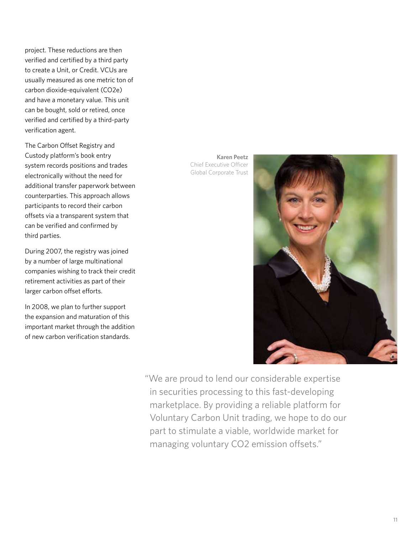project. These reductions are then verified and certified by a third party to create a Unit, or Credit. VCUs are usually measured as one metric ton of carbon dioxide-equivalent (CO2e) and have a monetary value. This unit can be bought, sold or retired, once verified and certified by a third-party verification agent.

The Carbon Offset Registry and Custody platform's book entry system records positions and trades electronically without the need for additional transfer paperwork between counterparties. This approach allows participants to record their carbon offsets via a transparent system that can be verified and confirmed by third parties.

During 2007, the registry was joined by a number of large multinational companies wishing to track their credit retirement activities as part of their larger carbon offset efforts.

In 2008, we plan to further support the expansion and maturation of this important market through the addition of new carbon verification standards.

**Karen Peetz** Chief Executive Officer Global Corporate Trust



"We are proud to lend our considerable expertise in securities processing to this fast-developing marketplace. By providing a reliable platform for Voluntary Carbon Unit trading, we hope to do our part to stimulate a viable, worldwide market for managing voluntary CO2 emission offsets."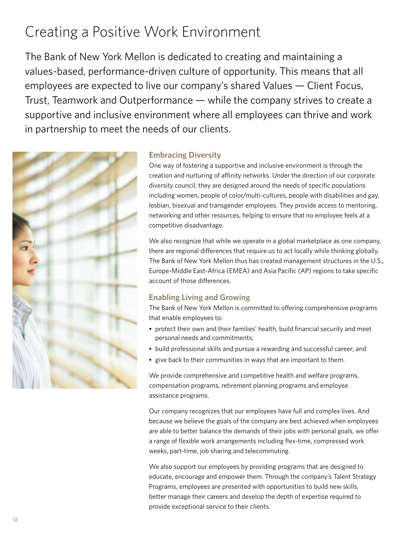# <span id="page-13-0"></span>Creating a Positive Work Environment

The Bank of New York Mellon is dedicated to creating and maintaining a values-based, performance-driven culture of opportunity. This means that all employees are expected to live our company's shared Values — Client Focus, Trust, Teamwork and Outperformance — while the company strives to create a supportive and inclusive environment where all employees can thrive and work in partnership to meet the needs of our clients.



## **Embracing Diversity**

One way of fostering a supportive and inclusive environment is through the creation and nurturing of affinity networks. Under the direction of our corporate diversity council, they are designed around the needs of specific populations including women, people of color/multi-cultures, people with disabilities and gay, lesbian, bisexual and transgender employees. They provide access to mentoring, networking and other resources, helping to ensure that no employee feels at a competitive disadvantage.

We also recognize that while we operate in a global marketplace as one company, there are regional differences that require us to act locally while thinking globally. The Bank of New York Mellon thus has created management structures in the U.S., Europe-Middle East-Africa (EMEA) and Asia Pacific (AP) regions to take specific account of those differences.

# **Enabling Living and Growing**

The Bank of New York Mellon is committed to offering comprehensive programs that enable employees to:

- protect their own and their families' health, build financial security and meet personal needs and commitments;
- build professional skills and pursue a rewarding and successful career; and
- give back to their communities in ways that are important to them.

We provide comprehensive and competitive health and welfare programs, compensation programs, retirement planning programs and employee assistance programs.

Our company recognizes that our employees have full and complex lives. And because we believe the goals of the company are best achieved when employees are able to better balance the demands of their jobs with personal goals, we offer a range of flexible work arrangements including flex-time, compressed work weeks, part-time, job sharing and telecommuting.

We also support our employees by providing programs that are designed to educate, encourage and empower them. Through the company's Talent Strategy Programs, employees are presented with opportunities to build new skills, better manage their careers and develop the depth of expertise required to provide exceptional service to their clients.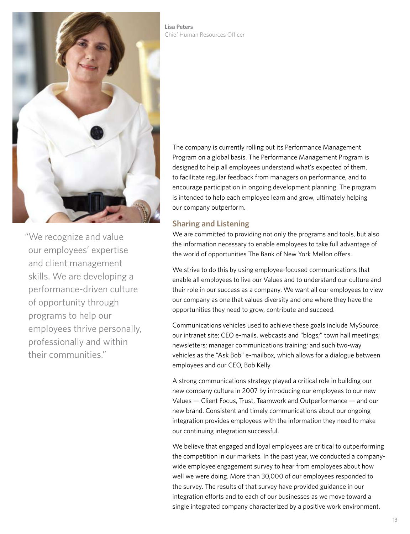

"We recognize and value our employees' expertise and client management skills. We are developing a performance-driven culture of opportunity through programs to help our employees thrive personally, professionally and within their communities."

**Lisa Peters** Chief Human Resources Officer

> The company is currently rolling out its Performance Management Program on a global basis. The Performance Management Program is designed to help all employees understand what's expected of them, to facilitate regular feedback from managers on performance, and to encourage participation in ongoing development planning. The program is intended to help each employee learn and grow, ultimately helping our company outperform.

### **Sharing and Listening**

We are committed to providing not only the programs and tools, but also the information necessary to enable employees to take full advantage of the world of opportunities The Bank of New York Mellon offers.

We strive to do this by using employee-focused communications that enable all employees to live our Values and to understand our culture and their role in our success as a company. We want all our employees to view our company as one that values diversity and one where they have the opportunities they need to grow, contribute and succeed.

Communications vehicles used to achieve these goals include MySource, our intranet site; CEO e-mails, webcasts and "blogs;" town hall meetings; newsletters; manager communications training; and such two-way vehicles as the "Ask Bob" e-mailbox, which allows for a dialogue between employees and our CEO, Bob Kelly.

A strong communications strategy played a critical role in building our new company culture in 2007 by introducing our employees to our new Values — Client Focus, Trust, Teamwork and Outperformance — and our new brand. Consistent and timely communications about our ongoing integration provides employees with the information they need to make our continuing integration successful.

We believe that engaged and loyal employees are critical to outperforming the competition in our markets. In the past year, we conducted a companywide employee engagement survey to hear from employees about how well we were doing. More than 30,000 of our employees responded to the survey. The results of that survey have provided guidance in our integration efforts and to each of our businesses as we move toward a single integrated company characterized by a positive work environment.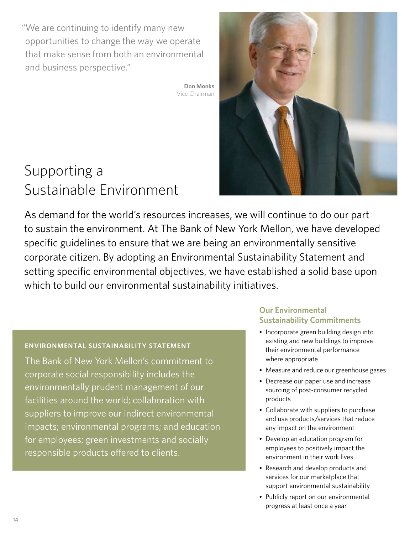<span id="page-15-0"></span>"We are continuing to identify many new opportunities to change the way we operate that make sense from both an environmental and business perspective."

> **Don Monks** Vice Chairman

# Supporting a Sustainable Environment

As demand for the world's resources increases, we will continue to do our part to sustain the environment. At The Bank of New York Mellon, we have developed specific guidelines to ensure that we are being an environmentally sensitive corporate citizen. By adopting an Environmental Sustainability Statement and setting specific environmental objectives, we have established a solid base upon which to build our environmental sustainability initiatives.

# **Environmental Sustainability Statement**

The Bank of New York Mellon's commitment to corporate social responsibility includes the environmentally prudent management of our facilities around the world; collaboration with suppliers to improve our indirect environmental impacts; environmental programs; and education for employees; green investments and socially responsible products offered to clients.

## **Our Environmental Sustainability Commitments**

- Incorporate green building design into existing and new buildings to improve their environmental performance where appropriate
- Measure and reduce our greenhouse gases
- Decrease our paper use and increase sourcing of post-consumer recycled products
- Collaborate with suppliers to purchase and use products/services that reduce any impact on the environment
- Develop an education program for employees to positively impact the environment in their work lives
- Research and develop products and services for our marketplace that support environmental sustainability
- Publicly report on our environmental progress at least once a year

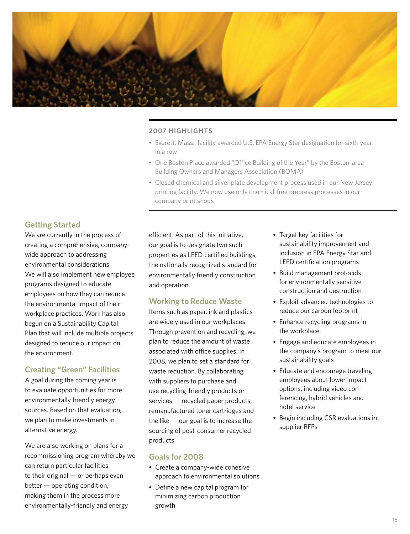

### **2007 Highlights**

- Everett, Mass., facility awarded U.S. EPA Energy Star designation for sixth year in a row
- One Boston Place awarded "Office Building of the Year" by the Boston-area Building Owners and Managers Association (BOMA)
- Closed chemical and silver plate development process used in our New Jersey printing facility. We now use only chemical-free prepress processes in our company print shops

### **Getting Started**

We are currently in the process of creating a comprehensive, companywide approach to addressing environmental considerations. We will also implement new employee programs designed to educate employees on how they can reduce the environmental impact of their workplace practices. Work has also begun on a Sustainability Capital Plan that will include multiple projects designed to reduce our impact on the environment.

### **Creating "Green" Facilities**

A goal during the coming year is to evaluate opportunities for more environmentally friendly energy sources. Based on that evaluation, we plan to make investments in alternative energy.

We are also working on plans for a recommissioning program whereby we can return particular facilities to their original — or perhaps even better — operating condition, making them in the process more environmentally-friendly and energy

efficient. As part of this initiative, our goal is to designate two such properties as LEED certified buildings, the nationally recognized standard for environmentally friendly construction and operation.

### **Working to Reduce Waste**

Items such as paper, ink and plastics are widely used in our workplaces. Through prevention and recycling, we plan to reduce the amount of waste associated with office supplies. In 2008, we plan to set a standard for waste reduction. By collaborating with suppliers to purchase and use recycling-friendly products or services — recycled paper products, remanufactured toner cartridges and the like  $-$  our goal is to increase the sourcing of post-consumer recycled products.

### **Goals for 2008**

- Create a company-wide cohesive approach to environmental solutions
- Define a new capital program for minimizing carbon production growth
- Target key facilities for sustainability improvement and inclusion in EPA Energy Star and LEED certification programs
- Build management protocols for environmentally sensitive construction and destruction
- Exploit advanced technologies to reduce our carbon footprint
- Enhance recycling programs in the workplace
- Engage and educate employees in the company's program to meet our sustainability goals
- Educate and encourage traveling employees about lower impact options, including video conferencing, hybrid vehicles and hotel service
- Begin including CSR evaluations in supplier RFPs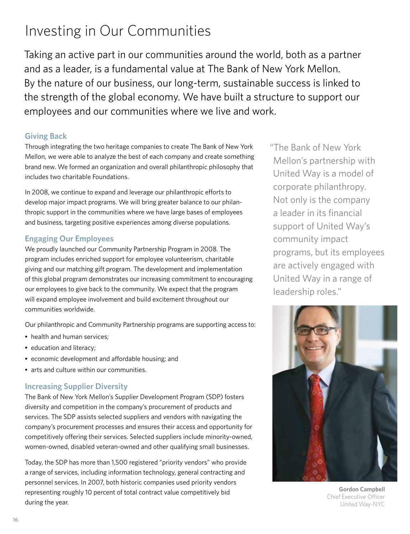# <span id="page-17-0"></span>Investing in Our Communities

Taking an active part in our communities around the world, both as a partner and as a leader, is a fundamental value at The Bank of New York Mellon. By the nature of our business, our long-term, sustainable success is linked to the strength of the global economy. We have built a structure to support our employees and our communities where we live and work.

## **Giving Back**

Through integrating the two heritage companies to create The Bank of New York Mellon, we were able to analyze the best of each company and create something brand new. We formed an organization and overall philanthropic philosophy that includes two charitable Foundations.

In 2008, we continue to expand and leverage our philanthropic efforts to develop major impact programs. We will bring greater balance to our philanthropic support in the communities where we have large bases of employees and business, targeting positive experiences among diverse populations.

# **Engaging Our Employees**

We proudly launched our Community Partnership Program in 2008. The program includes enriched support for employee volunteerism, charitable giving and our matching gift program. The development and implementation of this global program demonstrates our increasing commitment to encouraging our employees to give back to the community. We expect that the program will expand employee involvement and build excitement throughout our communities worldwide.

Our philanthropic and Community Partnership programs are supporting access to:

- health and human services:
- education and literacy;
- economic development and affordable housing; and
- arts and culture within our communities.

# **Increasing Supplier Diversity**

The Bank of New York Mellon's Supplier Development Program (SDP) fosters diversity and competition in the company's procurement of products and services. The SDP assists selected suppliers and vendors with navigating the company's procurement processes and ensures their access and opportunity for competitively offering their services. Selected suppliers include minority-owned, women-owned, disabled veteran-owned and other qualifying small businesses.

Today, the SDP has more than 1,500 registered "priority vendors" who provide a range of services, including information technology, general contracting and personnel services. In 2007, both historic companies used priority vendors representing roughly 10 percent of total contract value competitively bid during the year.

"The Bank of New York Mellon's partnership with United Way is a model of corporate philanthropy. Not only is the company a leader in its financial support of United Way's community impact programs, but its employees are actively engaged with United Way in a range of leadership roles."



**Gordon Campbell** Chief Executive Officer United Way-NYC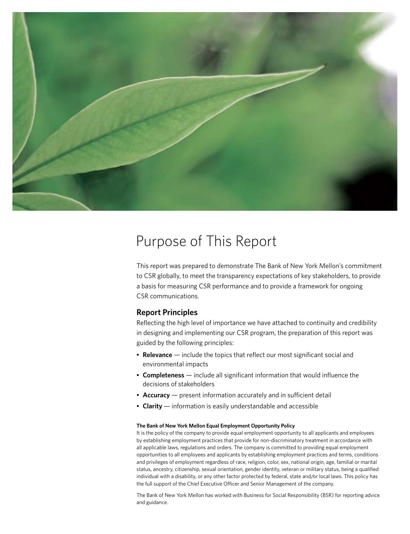

# Purpose of This Report

This report was prepared to demonstrate The Bank of New York Mellon's commitment to CSR globally, to meet the transparency expectations of key stakeholders, to provide a basis for measuring CSR performance and to provide a framework for ongoing CSR communications.

### **Report Principles**

Reflecting the high level of importance we have attached to continuity and credibility in designing and implementing our CSR program, the preparation of this report was guided by the following principles:

- **Relevance** include the topics that reflect our most significant social and environmental impacts
- **Completeness** include all significant information that would influence the decisions of stakeholders
- **Accuracy** present information accurately and in sufficient detail
- **Clarity** information is easily understandable and accessible

#### **The Bank of New York Mellon Equal Employment Opportunity Policy**

It is the policy of the company to provide equal employment opportunity to all applicants and employees by establishing employment practices that provide for non-discriminatory treatment in accordance with all applicable laws, regulations and orders. The company is committed to providing equal employment opportunities to all employees and applicants by establishing employment practices and terms, conditions and privileges of employment regardless of race, religion, color, sex, national origin, age, familial or marital status, ancestry, citizenship, sexual orientation, gender identity, veteran or military status, being a qualified individual with a disability, or any other factor protected by federal, state and/or local laws. This policy has the full support of the Chief Executive Officer and Senior Management of the company.

The Bank of New York Mellon has worked with Business for Social Responsibility (BSR) for reporting advice and guidance.